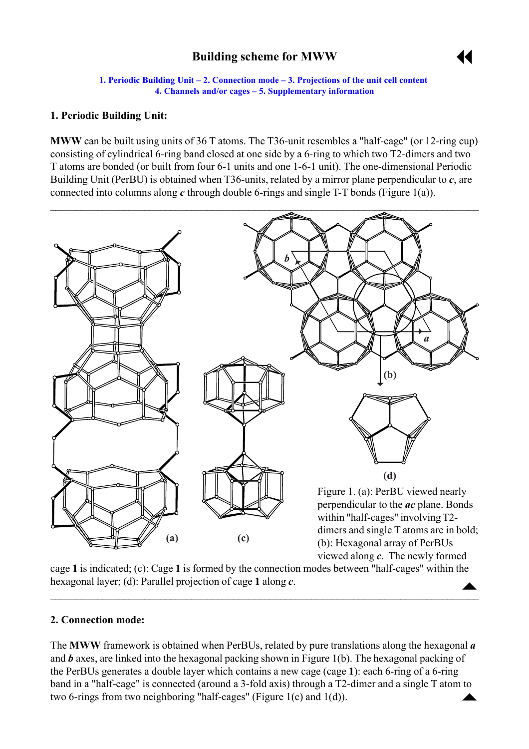# **Building scheme for MWW**



**1. Periodic Building Unit – 2. Connection mode – 3. Projections of the unit cell content [4. Channels and/or cages](#page-1-0) ñ [5. Supplementary information](#page-2-0)**

## <span id="page-0-0"></span>**1. Periodic Building Unit:**

**MWW** can be built using units of 36 T atoms. The T36-unit resembles a "half-cage" (or 12-ring cup) consisting of cylindrical 6-ring band closed at one side by a 6-ring to which two T2-dimers and two T atoms are bonded (or built from four 6-1 units and one 1-6-1 unit). The one-dimensional Periodic Building Unit (PerBU) is obtained when T36-units, related by a mirror plane perpendicular to *c*, are connected into columns along *c* through double 6-rings and single T-T bonds (Figure 1(a)).



 $\blacktriangle$ cage **1** is indicated; (c): Cage **1** is formed by the connection modes between "half-cages" within the hexagonal layer; (d): Parallel projection of cage **1** along *c*.

 $\overline{\phantom{a}}$  , and the contribution of the contribution of the contribution of the contribution of  $\overline{\phantom{a}}$ 

#### **2. Connection mode:**

band in a "half-cage" is connected (around a 3-fold axis) through a T2-dimer and a single T atom to two 6-rings from two neighboring "half-cages" (Figure 1(c) and 1(d)). The **MWW** framework is obtained when PerBUs, related by pure translations along the hexagonal *a* and *b* axes, are linked into the hexagonal packing shown in Figure 1(b). The hexagonal packing of the PerBUs generates a double layer which contains a new cage (cage **1**): each 6-ring of a 6-ring two 6-rings from two neighboring "half-cages" (Figure 1(c) and 1(d)).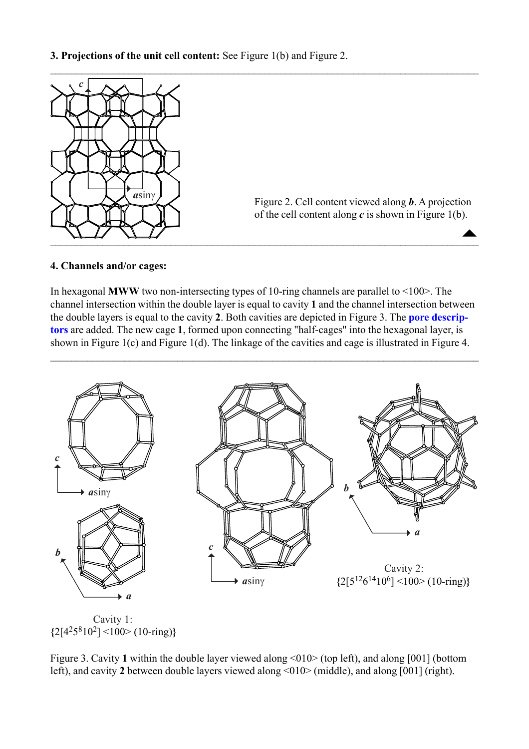<span id="page-1-0"></span>

Figure 2. Cell content viewed along *b*. A projection of the cell content along  $c$  is shown in Figure 1(b).

 $\blacktriangle$ 

#### **4. Channels and/or cages:**

In hexagonal **MWW** two non-intersecting types of 10-ring channels are parallel to  $\leq 100$ . The channel intersection within the double layer is equal to cavity **1** and the channel intersection between the double layers is equal to the cavity **2**. Both cavities are depicted in Figure 3. The **[pore descrip](http://www.iza-structure.org/databases/ModelBuilding/Introduction.pdf)[tors](http://www.iza-structure.org/databases/ModelBuilding/Introduction.pdf)** are added. The new cage **1**, formed upon connecting "half-cages" into the hexagonal layer, is shown in Figure 1(c) and Figure 1(d). The linkage of the cavities and cage is illustrated in Figure 4.

 $\mathcal{L}_\mathcal{L} = \{ \mathcal{L}_\mathcal{L} = \{ \mathcal{L}_\mathcal{L} = \{ \mathcal{L}_\mathcal{L} = \{ \mathcal{L}_\mathcal{L} = \{ \mathcal{L}_\mathcal{L} = \{ \mathcal{L}_\mathcal{L} = \{ \mathcal{L}_\mathcal{L} = \{ \mathcal{L}_\mathcal{L} = \{ \mathcal{L}_\mathcal{L} = \{ \mathcal{L}_\mathcal{L} = \{ \mathcal{L}_\mathcal{L} = \{ \mathcal{L}_\mathcal{L} = \{ \mathcal{L}_\mathcal{L} = \{ \mathcal{L}_\mathcal{$ 



**{**2[4258102] <100> (10-ring)**}**

Figure 3. Cavity 1 within the double layer viewed along <010 $>$  (top left), and along [001] (bottom left), and cavity 2 between double layers viewed along <010> (middle), and along [001] (right).